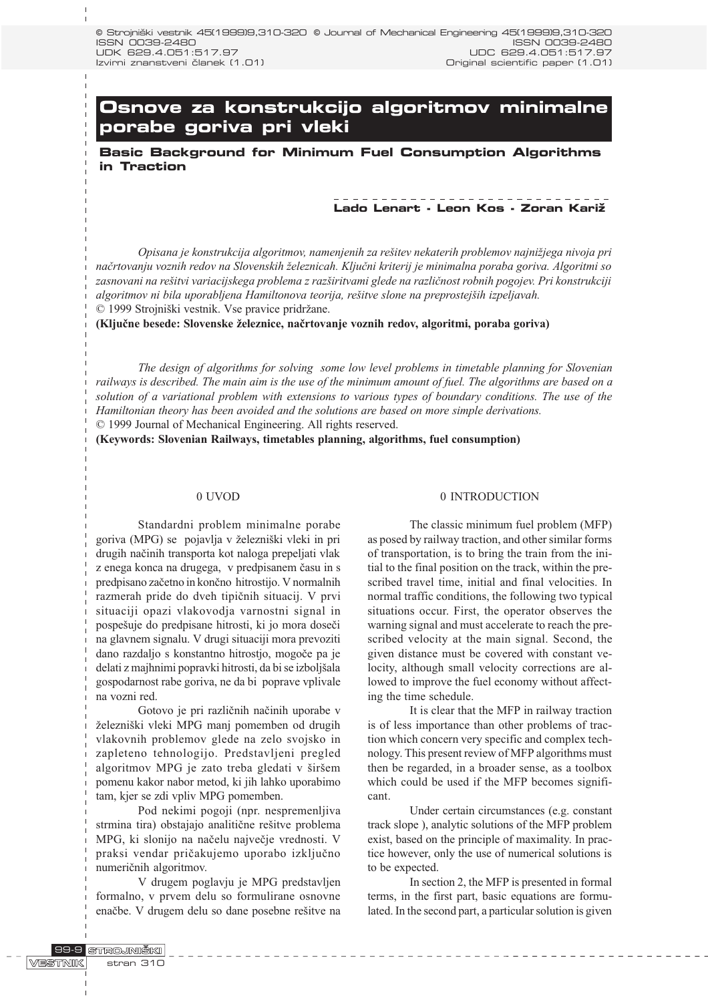# **Osnove za konstrukcijo algoritmov minimalne porabe goriva pri vleki**

**Basic Background for Minimum Fuel Consumption Algorithms in Traction**

# **Lado Lenart - Leon Kos - Zoran Kari`**

Opisana je konstrukcija algoritmov, namenjenih za rešitev nekaterih problemov najnižjega nivoja pri načrtovanju voznih redov na Slovenskih železnicah. Ključni kriterij je minimalna poraba goriva. Algoritmi so zasnovani na rešitvi variacijskega problema z razširitvami glede na različnost robnih pogojev. Pri konstrukciji algoritmov ni bila uporabljena Hamiltonova teorija, rešitve slone na preprostejših izpeljavah. © 1999 Strojniški vestnik. Vse pravice pridržane.

(Ključne besede: Slovenske železnice, načrtovanje voznih redov, algoritmi, poraba goriva)

The design of algorithms for solving some low level problems in timetable planning for Slovenian railways is described. The main aim is the use of the minimum amount of fuel. The algorithms are based on a solution of a variational problem with extensions to various types of boundary conditions. The use of the Hamiltonian theory has been avoided and the solutions are based on more simple derivations.

© 1999 Journal of Mechanical Engineering. All rights reserved.

(Keywords: Slovenian Railways, timetables planning, algorithms, fuel consumption)

#### 0 UVOD

Standardni problem minimalne porabe goriva (MPG) se pojavlja v železniški vleki in pri drugih naèinih transporta kot naloga prepeljati vlak z enega konca na drugega, v predpisanem èasu in s predpisano zaèetno in konèno hitrostijo. V normalnih razmerah pride do dveh tipiènih situacij. V prvi situaciji opazi vlakovodja varnostni signal in pospešuje do predpisane hitrosti, ki jo mora doseči na glavnem signalu. V drugi situaciji mora prevoziti dano razdaljo s konstantno hitrostjo, mogoèe pa je delati z majhnimi popravki hitrosti, da bi se izboljšala gospodarnost rabe goriva, ne da bi poprave vplivale na vozni red.

Gotovo je pri razliènih naèinih uporabe v železniški vleki MPG manj pomemben od drugih vlakovnih problemov glede na zelo svojsko in zapleteno tehnologijo. Predstavljeni pregled algoritmov MPG je zato treba gledati v širšem pomenu kakor nabor metod, ki jih lahko uporabimo tam, kjer se zdi vpliv MPG pomemben.

Pod nekimi pogoji (npr. nespremenljiva strmina tira) obstajajo analitične rešitve problema MPG, ki slonijo na naèelu najveèje vrednosti. V praksi vendar prièakujemo uporabo izkljuèno numeriènih algoritmov.

V drugem poglavju je MPG predstavljen formalno, v prvem delu so formulirane osnovne enačbe. V drugem delu so dane posebne rešitve na

#### 0 INTRODUCTION

The classic minimum fuel problem (MFP) as posed by railway traction, and other similar forms of transportation, is to bring the train from the initial to the final position on the track, within the prescribed travel time, initial and final velocities. In normal traffic conditions, the following two typical situations occur. First, the operator observes the warning signal and must accelerate to reach the prescribed velocity at the main signal. Second, the given distance must be covered with constant velocity, although small velocity corrections are allowed to improve the fuel economy without affecting the time schedule.

It is clear that the MFP in railway traction is of less importance than other problems of traction which concern very specific and complex technology. This present review of MFP algorithms must then be regarded, in a broader sense, as a toolbox which could be used if the MFP becomes significant.

Under certain circumstances (e.g. constant track slope ), analytic solutions of the MFP problem exist, based on the principle of maximality. In practice however, only the use of numerical solutions is to be expected.

In section 2, the MFP is presented in formal terms, in the first part, basic equations are formulated. In the second part, a particular solution is given

 $\begin{array}{cccccccccccccc} \bot & \bot & \bot & \bot & \bot & \bot & \bot & \bot \end{array}$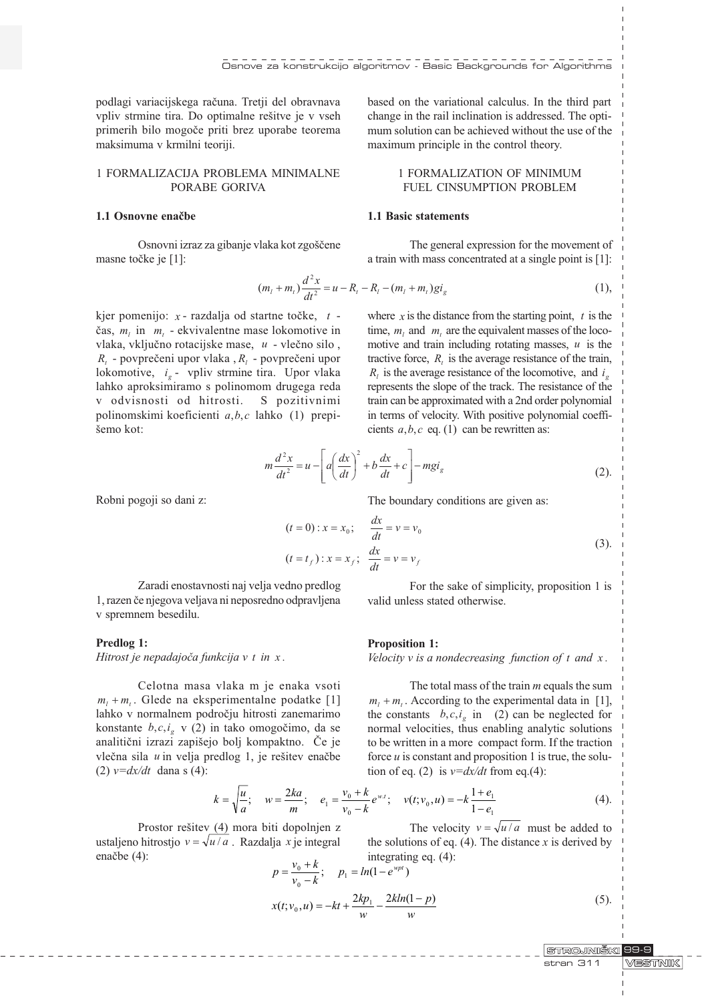podlagi variacijskega raèuna. Tretji del obravnava vpliv strmine tira. Do optimalne rešitve je v vseh primerih bilo mogoèe priti brez uporabe teorema maksimuma v krmilni teoriji.

# 1 FORMALIZACIJA PROBLEMA MINIMALNE PORABE GORIVA

#### 1.1 Osnovne enaèbe

Osnovni izraz za gibanje vlaka kot zgoščene masne točke je [1]:

 $1<sup>2</sup>$ 

based on the variational calculus. In the third part change in the rail inclination is addressed. The optimum solution can be achieved without the use of the maximum principle in the control theory.

# 1 FORMALIZATION OF MINIMUM FUEL CINSUMPTION PROBLEM

# 1.1 Basic statements

The general expression for the movement of a train with mass concentrated at a single point is [1]:

$$
(m_l + m_t) \frac{d^2 x}{dt^2} = u - R_t - R_l - (m_l + m_t) g i_g
$$
 (1),

kjer pomenijo:  $x$  - razdalja od startne točke,  $t$  čas,  $m_i$  in  $m_i$  - ekvivalentne mase lokomotive in vlaka, vkljuèno rotacijske mase, u - vleèno silo ,  $R_{i}$  - povprečeni upor vlaka ,  $R_{i}$  - povprečeni upor lokomotive,  $i_e$  - vpliv strmine tira. Upor vlaka lahko aproksimiramo s polinomom drugega reda v odvisnosti od hitrosti. S pozitivnimi polinomskimi koeficienti a,b,c lahko (1) prepi šemo kot:

where x is the distance from the starting point,  $t$  is the time,  $m_l$  and  $m_l$ , are the equivalent masses of the locomotive and train including rotating masses,  $u$  is the tractive force,  $R<sub>i</sub>$  is the average resistance of the train,  $R_i$  is the average resistance of the locomotive, and  $i_a$ represents the slope of the track. The resistance of the train can be approximated with a 2nd order polynomial in terms of velocity. With positive polynomial coefficients  $a, b, c$  eq. (1) can be rewritten as:

$$
m\frac{d^2x}{dt^2} = u - \left[ a\left(\frac{dx}{dt}\right)^2 + b\frac{dx}{dt} + c \right] - mgi_g \tag{2}.
$$

Robni pogoji so dani z:

The boundary conditions are given as:

$$
(t = 0): x = x_0; \qquad \frac{dx}{dt} = v = v_0
$$
  
(t = t<sub>f</sub>) : x = x<sub>f</sub>;  $\frac{dx}{dt} = v = v_f$  (3).

valid unless stated otherwise.

Zaradi enostavnosti naj velja vedno predlog 1, razen èe njegova veljava ni neposredno odpravljena v spremnem besedilu.

# Predlog 1:

Hitrost je nepadajoča funkcija v t in x.

Celotna masa vlaka m je enaka vsoti  $m_l + m_t$ . Glede na eksperimentalne podatke [1] lahko v normalnem podroèju hitrosti zanemarimo konstante  $b, c, i_g$  v (2) in tako omogočimo, da se analitični izrazi zapišejo bolj kompaktno. Če je vlečna sila  $u$  in velja predlog 1, je rešitev enačbe (2)  $v=dx/dt$  dana s (4):

Proposition 1:

Velocity  $v$  is a nondecreasing function of  $t$  and  $x$ .

For the sake of simplicity, proposition 1 is

The total mass of the train  $m$  equals the sum  $m_1 + m_2$ . According to the experimental data in [1], the constants  $b, c, i_{\sigma}$  in (2) can be neglected for normal velocities, thus enabling analytic solutions to be written in a more compact form. If the traction force  $u$  is constant and proposition 1 is true, the solution of eq. (2) is  $v=dx/dt$  from eq.(4):

The velocity  $v = \sqrt{u/a}$  must be added to

$$
k = \sqrt{\frac{u}{a}}; \quad w = \frac{2ka}{m}; \quad e_1 = \frac{v_0 + k}{v_0 - k} e^{w \cdot t}; \quad v(t; v_0, u) = -k \frac{1 + e_1}{1 - e_1}
$$
(4).

w

Prostor rešitev (4) mora biti dopolnjen z ustaljeno hitrostjo  $v = \sqrt{u/a}$ . Razdalja x je integral enačbe (4):

ja *x* je integral the solutions of eq. (4). The distance *x* is derived by integrating eq. (4):  
\n
$$
p = \frac{v_0 + k}{v_0 - k}; \quad p_1 = ln(1 - e^{wpt})
$$
\n
$$
x(t; v_0, u) = -kt + \frac{2kp_1}{w} - \frac{2kln(1-p)}{w}
$$
\n(5).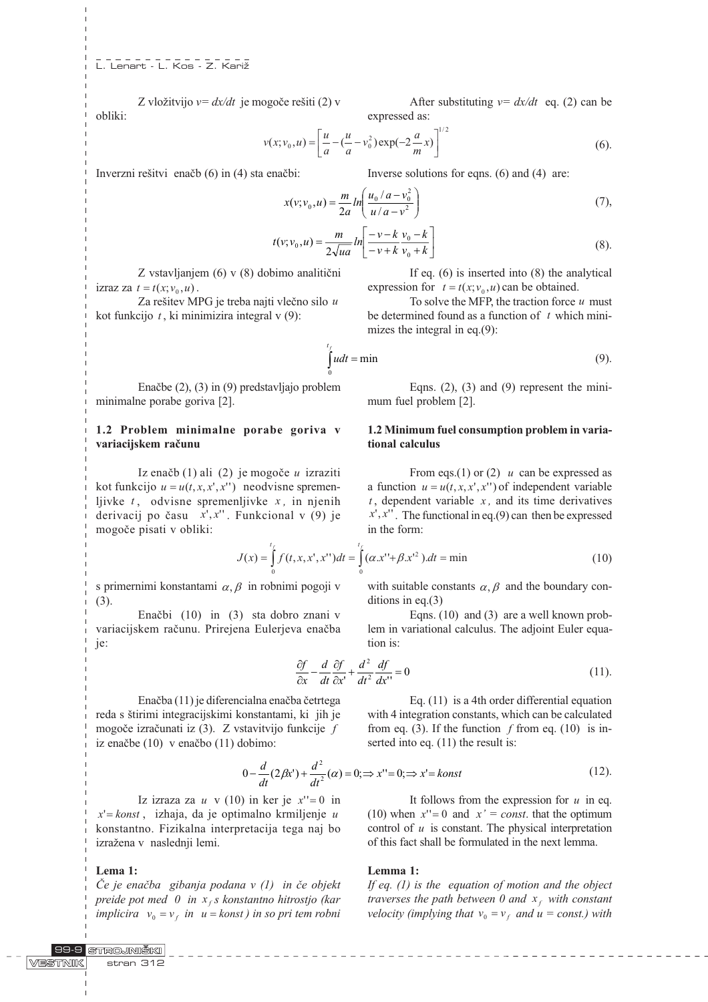Z vložitvijo  $v = dx/dt$  je mogoče rešiti (2) v obliki:

(6).  $(x; v_0, u) = \left[ \frac{u}{a} - (\frac{u}{a} - v_0^2) \exp(-2\frac{a}{m}x) \right]^{1/2}$  $v(x; v_0, u) = \left\lfloor \frac{u}{a} \right\rfloor$ 

Inverzni rešitvi enačb $(6)$  in  $(4)$  sta enačbi:

$$
x(v; v_0, u) = \frac{m}{2a} ln\left(\frac{u_0/a - v_0^2}{u/a - v^2}\right)
$$
 (7),

$$
t(v; v_0, u) = \frac{m}{2\sqrt{ua}} ln\left[\frac{-v - k}{-v + k} \frac{v_0 - k}{v_0 + k}\right]
$$
(8).

Z vstavljanjem (6) v (8) dobimo analitièni izraz za  $t = t(x; v_0, u)$ .

Za rešitev MPG je treba najti vlečno silo  $u$ kot funkcijo  $t$ , ki minimizira integral v (9):

Enaèbe (2), (3) in (9) predstavljajo problem minimalne porabe goriva [2].

0

x f

# 1.2 Problem minimalne porabe goriva v variacijskem raèunu

Iz enačb $(1)$  ali  $(2)$  je mogoče u izraziti kot funkcijo  $u = u(t, x, x', x'')$  neodvisne spremenljivke  $t$ , odvisne spremenljivke  $x$ , in njenih derivacij po času  $x', x''$ . Funkcional v (9) je mogoèe pisati v obliki:

$$
J(x) = \int_{0}^{t_f} f(t, x, x', x'')dt = \int_{0}^{t_f} (\alpha x'' + \beta x'^2) dt = \min
$$
 (10)

s primernimi konstantami  $\alpha$ ,  $\beta$  in robnimi pogoji v (3).

Enaèbi (10) in (3) sta dobro znani v variacijskem raèunu. Prirejena Eulerjeva enaèba je:

$$
\begin{array}{c}\n\text{tion is:} \\
\text{if} \quad d^2 \quad \text{df}\n\end{array}
$$

$$
\frac{\partial f}{\partial x} - \frac{d}{dt} \frac{\partial f}{\partial x'} + \frac{d^2}{dt^2} \frac{df}{dx'} = 0
$$
\n(11).

Enaèba (11) je diferencialna enaèba èetrtega reda s tirimi integracijskimi konstantami, ki jih je mogoèe izraèunati iz (3). Z vstavitvijo funkcije f iz enaèbe (10) v enaèbo (11) dobimo:

$$
0 - \frac{d}{dt}(2\beta x') + \frac{d^2}{dt^2}(\alpha) = 0; \Rightarrow x'' = 0; \Rightarrow x' = konst
$$
 (12).

Iz izraza za u v (10) in ker je  $x''=0$  in  $x' =$ konst, izhaja, da je optimalno krmiljenje u konstantno. Fizikalna interpretacija tega naj bo izražena v naslednji lemi.

# Lema 1:

 $\check{C}e$  je enačba gibanja podana v (1) in če objekt preide pot med 0 in  $x_f$ s konstantno hitrostjo (kar implicira  $v_0 = v_f$  in  $u =$  konst ) in so pri tem robni expressed as:

After substituting  $v = dx/dt$  eq. (2) can be

Inverse solutions for eqns. (6) and (4) are:

If eq. (6) is inserted into (8) the analytical

expression for  $t = t(x; v_0, u)$  can be obtained.

To solve the MFP, the traction force  $u$  must be determined found as a function of  $t$  which minimizes the integral in eq.(9):

$$
\int u dt = \min \tag{9}.
$$

Eqns.  $(2)$ ,  $(3)$  and  $(9)$  represent the minimum fuel problem [2].

# 1.2 Minimum fuel consumption problem in variational calculus

From eqs.(1) or (2)  $u$  can be expressed as a function  $u = u(t, x, x', x'')$  of independent variable  $t$ , dependent variable  $x$ , and its time derivatives  $x', x''$ . The functional in eq.(9) can then be expressed in the form:

with suitable constants  $\alpha$ ,  $\beta$  and the boundary conditions in eq.(3)

Eqns. (10) and (3) are a well known problem in variational calculus. The adjoint Euler equa-

$$
\frac{d}{dt}\frac{\partial f}{\partial x'} + \frac{d^2}{dt^2}\frac{df}{dx''} = 0\tag{11}
$$

Eq. (11) is a 4th order differential equation with 4 integration constants, which can be calculated from eq. (3). If the function  $f$  from eq. (10) is inserted into eq.  $(11)$  the result is:

It follows from the expression for  $u$  in eq. dt

(10) when  $x''=0$  and  $x' = const.$  that the optimum control of  $u$  is constant. The physical interpretation of this fact shall be formulated in the next lemma.

#### Lemma 1:

If eq.  $(1)$  is the equation of motion and the object traverses the path between 0 and  $x_f$  with constant velocity (implying that  $v_0 = v_f$  and  $u = const.$ ) with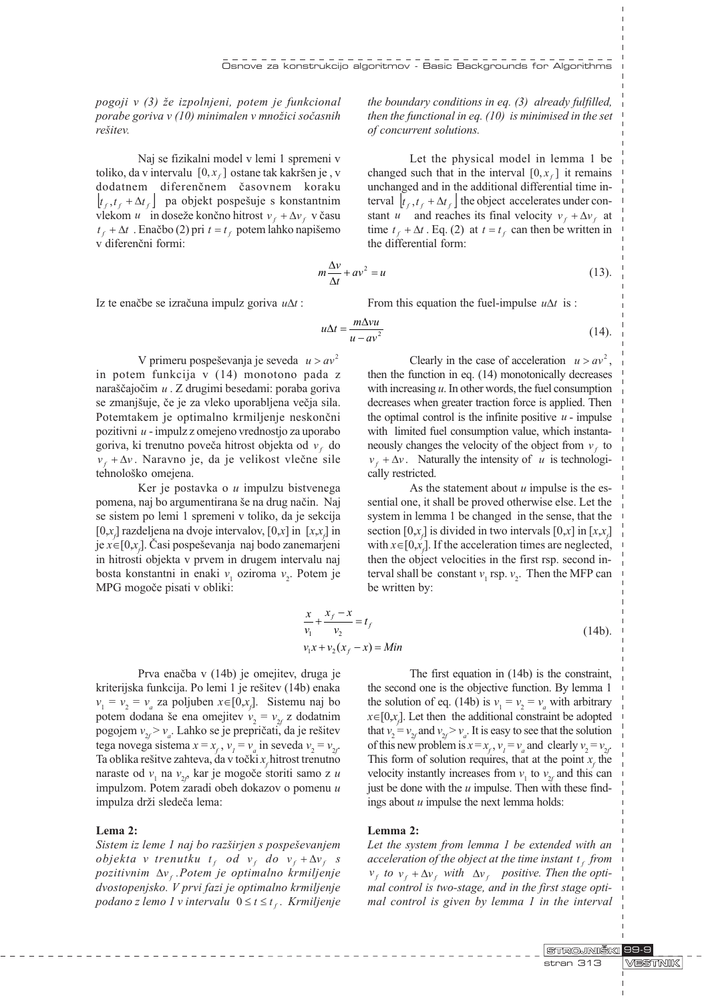pogoji v  $(3)$  že izpolnjeni, potem je funkcional porabe goriva v  $(10)$  minimalen v množici sočasnih rešitev

Naj se fizikalni model v lemi 1 spremeni v toliko, da v intervalu  $[0, x_f]$  ostane tak kakršen je , v dodatnem diferenènem èasovnem koraku  $| t_f, t_f + \Delta t_f |$  pa objekt pospešuje s konstantnim vlekom u in doseže končno hitrost  $v_f + \Delta v_f$  v času  $t_f + \Delta t$ . Enačbo (2) pri  $t = t_f$  potem lahko napišemo v diferenèni formi:

the boundary conditions in eq. (3) already fulfilled, then the functional in eq.  $(10)$  is minimised in the set of concurrent solutions.

Let the physical model in lemma 1 be changed such that in the interval  $[0, x<sub>f</sub>]$  it remains unchanged and in the additional differential time interval  $| t_f, t_f + \Delta t_f |$  the object accelerates under constant u and reaches its final velocity  $v_f + \Delta v_f$  at time  $t_f + \Delta t$ . Eq. (2) at  $t = t_f$  can then be written in the differential form:

$$
m\frac{\Delta v}{\Delta t} + av^2 = u\tag{13}
$$

Iz te enačbe se izračuna impulz goriva  $u\Delta t$ :

From this equation the fuel-impulse  $u\Delta t$  is :

$$
u\Delta t = \frac{m\Delta vu}{u - av^2} \tag{14}
$$

V primeru pospeševanja je seveda  $u > av^2$ in potem funkcija v (14) monotono pada z naraščajočim u . Z drugimi besedami: poraba goriva se zmanjšuje, če je za vleko uporabljena večja sila. Potemtakem je optimalno krmiljenje neskonèni pozitivni u - impulz z omejeno vrednostjo za uporabo goriva, ki trenutno poveča hitrost objekta od  $v_t$  do  $v_f + \Delta v$ . Naravno je, da je velikost vlečne sile tehnološko omejena.

Ker je postavka o u impulzu bistvenega pomena, naj bo argumentirana še na drug način. Naj se sistem po lemi 1 spremeni v toliko, da je sekcija [0,x<sub>f</sub>] razdeljena na dvoje intervalov, [0,x] in [x,x<sub>f</sub>] in je  $x \in [0, x_{\epsilon}]$ . Časi pospeševanja naj bodo zanemarjeni in hitrosti objekta v prvem in drugem intervalu naj bosta konstantni in enaki  $v_1$  oziroma  $v_2$ . Potem je MPG mogoèe pisati v obliki:

Clearly in the case of acceleration  $u > av^2$ , then the function in eq. (14) monotonically decreases with increasing  $u$ . In other words, the fuel consumption decreases when greater traction force is applied. Then the optimal control is the infinite positive  $u$  - impulse with limited fuel consumption value, which instantaneously changes the velocity of the object from  $v_t$  to  $v_f + \Delta v$ . Naturally the intensity of u is technologically restricted.

As the statement about  $u$  impulse is the essential one, it shall be proved otherwise else. Let the system in lemma 1 be changed in the sense, that the section [0,x<sub>f</sub>] is divided in two intervals [0,x] in [x,x<sub>f</sub>] with  $x \in [0, x<sub>f</sub>]$ . If the acceleration times are neglected, then the object velocities in the first rsp. second interval shall be constant  $v_1$  rsp.  $v_2$ . Then the MFP can be written by:

$$
\frac{x}{v_1} + \frac{x_f - x}{v_2} = t_f
$$
  
\n
$$
v_1 x + v_2 (x_f - x) = Min
$$
\n(14b).

Prva enaèba v (14b) je omejitev, druga je kriterijska funkcija. Po lemi 1 je rešitev (14b) enaka  $v_1 = v_2 = v_a$  za poljuben  $x \in [0, x_f]$ . Sistemu naj bo potem dodana še ena omejitev  $v_2 = v_{2f}$  z dodatnim pogojem  $v_{2f} > v_a$ . Lahko se je prepričati, da je rešitev tega novega sistema  $x = x_f$ ,  $v_i = v_a$  in seveda  $v_2 = v_{2f}$ . Ta oblika rešitve zahteva, da v točki  $x_f$ hitrost trenutno naraste od  $v_1$  na  $v_{2f}$  kar je mogoče storiti samo z u impulzom. Potem zaradi obeh dokazov o pomenu u impulza drži sledeča lema:

# Lema 2:

Sistem iz leme 1 naj bo razširjen s pospeševanjem objekta v trenutku  $t_f$  od  $v_f$  do  $v_f + \Delta v_f$  s pozitivnim  $\Delta v_f$ . Potem je optimalno krmiljenje dvostopenjsko. V prvi fazi je optimalno krmiljenje podano z lemo 1 v intervalu  $0 \le t \le t_f$ . Krmiljenje

The first equation in (14b) is the constraint, the second one is the objective function. By lemma 1 the solution of eq. (14b) is  $v_1 = v_2 = v_a$  with arbitrary  $x \in [0, x_f]$ . Let then the additional constraint be adopted that  $v_2 = v_{2f}$  and  $v_{2f} > v_a$ . It is easy to see that the solution of this new problem is  $x = x_f$ ,  $v_1 = v_a$  and clearly  $v_2 = v_{2f}$ . This form of solution requires, that at the point  $x_f$  the velocity instantly increases from  $v_1$  to  $v_{2f}$  and this can just be done with the  $u$  impulse. Then with these findings about  $u$  impulse the next lemma holds:

# Lemma 2:

Let the system from lemma 1 be extended with an acceleration of the object at the time instant  $t_f$  from  $v_f$  to  $v_f + \Delta v_f$  with  $\Delta v_f$  positive. Then the optimal control is two-stage, and in the first stage optimal control is given by lemma 1 in the interval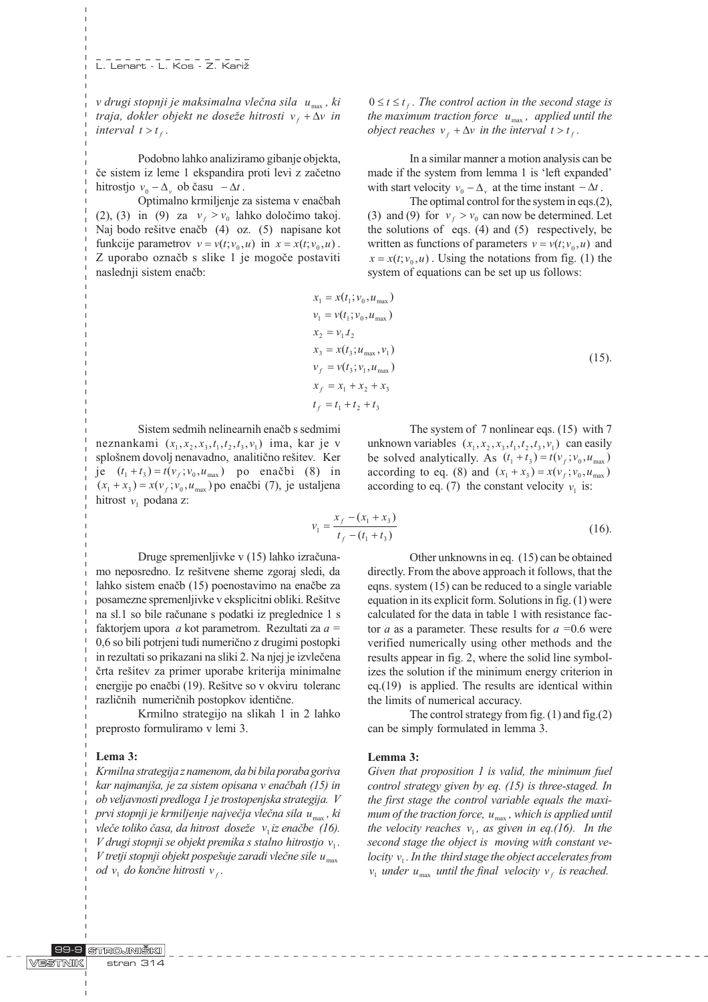L. Lenart - L. Kos - Z. Kariž

v drugi stopnji je maksimalna vlečna sila  $u_{\text{max}}$ , ki traja, dokler objekt ne doseže hitrosti  $v_f + \Delta v$  in interval  $t > t_f$ .

Podobno lahko analiziramo gibanje objekta, èe sistem iz leme 1 ekspandira proti levi z zaèetno hitrostjo  $v_0 - \Delta_v$  ob času  $-\Delta t$ .

Optimalno krmiljenje za sistema v enaèbah (2), (3) in (9) za  $v_f > v_0$  lahko določimo takoj. Naj bodo rešitve enačb (4) oz. (5) napisane kot funkcije parametrov  $v = v(t; v_0, u)$  in  $x = x(t; v_0, u)$ . Z uporabo oznaèb s slike 1 je mogoèe postaviti naslednji sistem enaèb:

 $0 \le t \le t_{\rm c}$ . The control action in the second stage is the maximum traction force  $u_{\text{max}}$ , applied until the object reaches  $v_t + \Delta v$  in the interval  $t > t_t$ .

In a similar manner a motion analysis can be made if the system from lemma 1 is 'left expanded' with start velocity  $v_0 - \Delta_v$  at the time instant  $-\Delta t$ .

The optimal control for the system in eqs.(2), (3) and (9) for  $v_t > v_0$  can now be determined. Let the solutions of eqs.  $(4)$  and  $(5)$  respectively, be written as functions of parameters  $v = v(t; v_0, u)$  and  $x = x(t; v_0, u)$ . Using the notations from fig. (1) the system of equations can be set up us follows:

$$
x_1 = x(t_1; v_0, u_{\text{max}})
$$
  
\n
$$
v_1 = v(t_1; v_0, u_{\text{max}})
$$
  
\n
$$
x_2 = v_1.t_2
$$
  
\n
$$
x_3 = x(t_3; u_{\text{max}}, v_1)
$$
  
\n
$$
v_f = v(t_3; v_1, u_{\text{max}})
$$
  
\n
$$
x_f = x_1 + x_2 + x_3
$$
  
\n
$$
t_f = t_1 + t_2 + t_3
$$
\n(15)

Sistem sedmih nelinearnih enaèb s sedmimi neznankami  $(x_1, x_2, x_3, t_1, t_2, t_3, v_1)$  ima, kar je v splošnem dovolj nenavadno, analitično rešitev. Ker je  $(t_1 + t_3) = t(v_f; v_0, u_{max})$  po enačbi (8) in  $(x_1 + x_3) = x(v_f; v_0, u_{max})$  po enačbi (7), je ustaljena hitrost  $v_1$  podana z:

The system of 7 nonlinear eqs. (15) with 7 unknown variables  $(x_1, x_2, x_3, t_1, t_2, t_3, v_1)$  can easily be solved analytically. As  $(t_1 + t_3) = t(v_f; v_0, u_{max})$ according to eq. (8) and  $(x_1 + x_3) = x(v_f; v_0, u_{max})$ according to eq. (7) the constant velocity  $v_1$  is:

$$
v_1 = \frac{x_f - (x_1 + x_3)}{t_f - (t_1 + t_3)}\tag{16}
$$

Druge spremenljivke v (15) lahko izraèunamo neposredno. Iz rešitvene sheme zgoraj sledi, da lahko sistem enaèb (15) poenostavimo na enaèbe za posamezne spremenljivke v eksplicitni obliki. Rešitve na sl.1 so bile raèunane s podatki iz preglednice 1 s faktorjem upora  $a$  kot parametrom. Rezultati za  $a =$ 0,6 so bili potrjeni tudi numerièno z drugimi postopki in rezultati so prikazani na sliki 2. Na njej je izvleèena črta rešitev za primer uporabe kriterija minimalne energije po enačbi (19). Rešitve so v okviru toleranc razliènih numeriènih postopkov identiène.

Krmilno strategijo na slikah 1 in 2 lahko preprosto formuliramo v lemi 3.

#### Lema 3:

Krmilna strategija z namenom, da bi bila poraba goriva kar najmanjša, je za sistem opisana v enačbah (15) in ob veljavnosti predloga 1 je trostopenjska strategija. V prvi stopnji je krmiljenje največja vlečna sila  $u_{\text{max}}$ , ki vleče toliko časa, da hitrost doseže  $v_i$  iz enačbe (16). V drugi stopnji se objekt premika s stalno hitrostjo  $v_1$ . V tretji stopnji objekt pospešuje zaradi vlečne sile  $u_{\text{max}}$ od  $v_1$  do končne hitrosti  $v_1$ .

Other unknowns in eq. (15) can be obtained directly. From the above approach it follows, that the eqns. system (15) can be reduced to a single variable equation in its explicit form. Solutions in fig. (1) were calculated for the data in table 1 with resistance factor *a* as a parameter. These results for  $a = 0.6$  were verified numerically using other methods and the results appear in fig. 2, where the solid line symbolizes the solution if the minimum energy criterion in eq.(19) is applied. The results are identical within the limits of numerical accuracy.

The control strategy from fig. (1) and fig.(2) can be simply formulated in lemma 3.

#### Lemma 3:

Given that proposition 1 is valid, the minimum fuel control strategy given by eq. (15) is three-staged. In the first stage the control variable equals the maximum of the traction force,  $u_{\text{max}}$ , which is applied until the velocity reaches  $v_1$ , as given in eq.(16). In the second stage the object is moving with constant velocity  $v_1$ . In the third stage the object accelerates from  $v_1$  under  $u_{\text{max}}$  until the final velocity  $v_f$  is reached.

 $\begin{array}{cccccccccccccc} \bot & \bot & \bot & \bot & \bot & \bot & \bot & \bot & \bot \end{array}$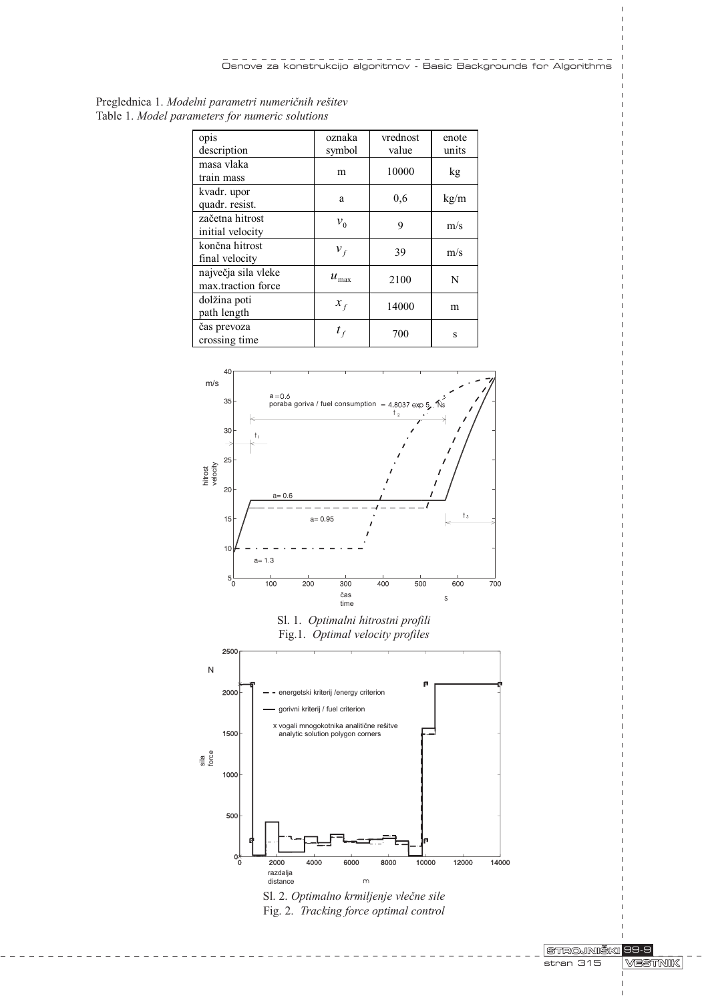| Preglednica 1. Modelni parametri numeričnih rešitev<br>Table 1. Model parameters for numeric solutions |                  |    |
|--------------------------------------------------------------------------------------------------------|------------------|----|
| opis<br>$\frac{1}{2}$ description                                                                      | oznaka<br>symbol | vr |
|                                                                                                        |                  |    |

| opis                                      | oznaka        | vrednost | enote |
|-------------------------------------------|---------------|----------|-------|
| description                               | symbol        | value    | units |
| masa vlaka<br>train mass                  | m             | 10000    | kg    |
| kvadr. upor<br>quadr. resist.             | a             | 0,6      | kg/m  |
| začetna hitrost<br>initial velocity       | $v_{0}$       | 9        | m/s   |
| končna hitrost<br>final velocity          | $v_{f}$       | 39       | m/s   |
| največja sila vleke<br>max.traction force | $u_{\rm max}$ | 2100     | N     |
| dolžina poti<br>path length               | $x_{f}$       | 14000    | m     |
| čas prevoza<br>crossing time              |               | 700      | S     |







Sl. 2. Optimalno krmiljenje vlečne sile Fig. 2. Tracking force optimal control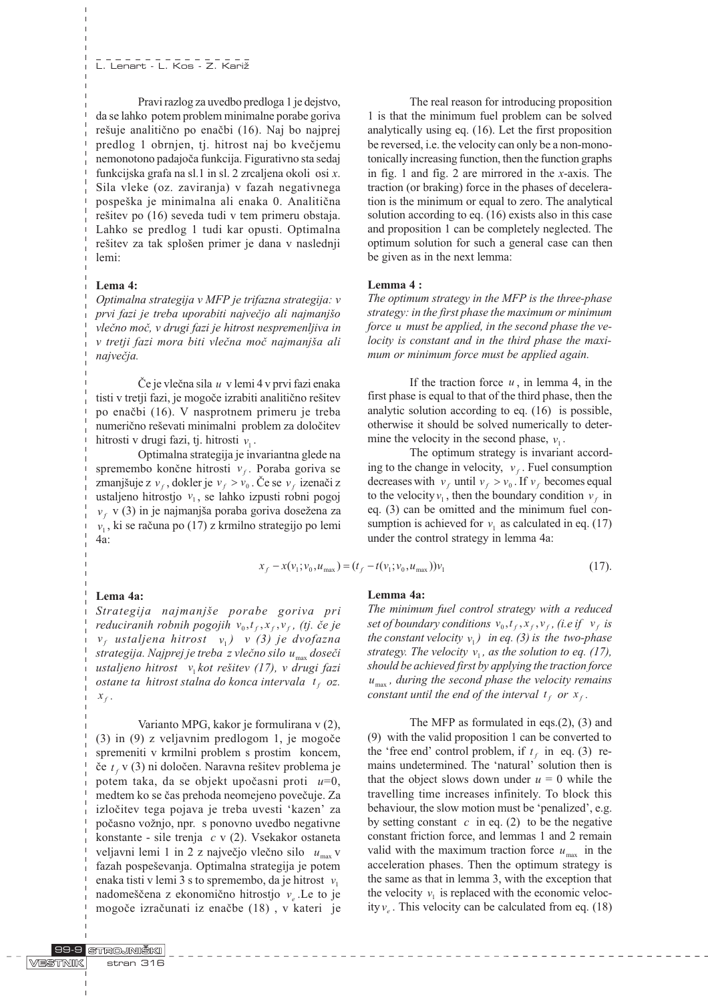Pravi razlog za uvedbo predloga 1 je dejstvo, da se lahko potem problem minimalne porabe goriva rešuje analitično po enačbi (16). Naj bo najprej predlog 1 obrnjen, tj. hitrost naj bo kvečjemu nemonotono padajoèa funkcija. Figurativno sta sedaj funkcijska grafa na sl.1 in sl. 2 zrcaljena okoli osi x. Sila vleke (oz. zaviranja) v fazah negativnega pospeka je minimalna ali enaka 0. Analitièna rešitev po (16) seveda tudi v tem primeru obstaja. Lahko se predlog 1 tudi kar opusti. Optimalna rešitev za tak splošen primer je dana v naslednji lemi:

# Lema 4:

Optimalna strategija v MFP je trifazna strategija: v prvi fazi je treba uporabiti največjo ali najmanjšo vleèno moè, v drugi fazi je hitrost nespremenljiva in v tretji fazi mora biti vlečna moč najmanjša ali največja.

Če je vlečna sila  $u \, v$  lemi 4 v prvi fazi enaka tisti v tretji fazi, je mogoče izrabiti analitično rešitev po enaèbi (16). V nasprotnem primeru je treba numerično reševati minimalni problem za določitev hitrosti v drugi fazi, tj. hitrosti  $v_i$ .

Optimalna strategija je invariantna glede na spremembo končne hitrosti  $v_f$ . Poraba goriva se zmanjšuje z  $v_t$ , dokler je  $v_t > v_0$ . Če se  $v_t$  izenači z ustaljeno hitrostjo  $v_1$ , se lahko izpusti robni pogoj  $v_f$  v (3) in je najmanjša poraba goriva dosežena za  $v_1$ , ki se računa po (17) z krmilno strategijo po lemi 4a:

The real reason for introducing proposition 1 is that the minimum fuel problem can be solved analytically using eq. (16). Let the first proposition be reversed, i.e. the velocity can only be a non-monotonically increasing function, then the function graphs in fig. 1 and fig. 2 are mirrored in the x-axis. The traction (or braking) force in the phases of deceleration is the minimum or equal to zero. The analytical solution according to eq. (16) exists also in this case and proposition 1 can be completely neglected. The optimum solution for such a general case can then be given as in the next lemma:

# Lemma 4 :

The optimum strategy in the MFP is the three-phase strategy: in the first phase the maximum or minimum force u must be applied, in the second phase the velocity is constant and in the third phase the maximum or minimum force must be applied again.

If the traction force  $u$ , in lemma 4, in the first phase is equal to that of the third phase, then the analytic solution according to eq. (16) is possible, otherwise it should be solved numerically to determine the velocity in the second phase,  $v_1$ .

The optimum strategy is invariant according to the change in velocity,  $v_f$ . Fuel consumption decreases with  $v_f$  until  $v_f > v_0$ . If  $v_f$  becomes equal to the velocity  $v_1$ , then the boundary condition  $v_f$  in eq. (3) can be omitted and the minimum fuel consumption is achieved for  $v_1$  as calculated in eq. (17) under the control strategy in lemma 4a:

$$
x_f - x(v_1; v_0, u_{\text{max}}) = (t_f - t(v_1; v_0, u_{\text{max}}))v_1
$$
\n(17).

# Lema 4a:

Strategija najmanjše porabe goriva pri reduciranih robnih pogojih  $v_0, t_f, x_f, v_f$ , (tj. če je  $v_f$  ustaljena hitrost  $v_1$ ) v (3) je dvofazna strategija. Najprej je treba z vlečno silo  $u_{\text{max}}$  doseči ustaljeno hitrost  $v_1$ kot rešitev (17), v drugi fazi ostane ta hitrost stalna do konca intervala  $t_f$  oz.  $x_f$ .

Varianto MPG, kakor je formulirana v (2), (3) in (9) z veljavnim predlogom 1, je mogoèe spremeniti v krmilni problem s prostim koncem, če  $t_f$  v (3) ni določen. Naravna rešitev problema je potem taka, da se objekt upočasni proti  $u=0$ , medtem ko se èas prehoda neomejeno poveèuje. Za izločitev tega pojava je treba uvesti 'kazen' za počasno vožnjo, npr. s ponovno uvedbo negativne konstante - sile trenja c v (2). Vsekakor ostaneta veljavni lemi 1 in 2 z največjo vlečno silo  $u_{\text{max}}$  v fazah pospeševanja. Optimalna strategija je potem enaka tisti v lemi 3 s to spremembo, da je hitrost  $v_1$ nadomeščena z ekonomično hitrostjo  $v_{\alpha}$ . Le to je mogoèe izraèunati iz enaèbe (18) , v kateri je

# Lemma 4a:

The minimum fuel control strategy with a reduced set of boundary conditions  $v_0, t_f, x_f, v_f$ , (i.e if  $v_f$  is the constant velocity  $v_1$ ) in eq. (3) is the two-phase strategy. The velocity  $v_1$ , as the solution to eq. (17), should be achieved first by applying the traction force  $u_{\text{max}}$ , during the second phase the velocity remains constant until the end of the interval  $t_f$  or  $x_f$ .

The MFP as formulated in eqs.(2), (3) and (9) with the valid proposition 1 can be converted to the 'free end' control problem, if  $t_f$  in eq. (3) remains undetermined. The 'natural' solution then is that the object slows down under  $u = 0$  while the travelling time increases infinitely. To block this behaviour, the slow motion must be 'penalized', e.g. by setting constant  $c$  in eq. (2) to be the negative constant friction force, and lemmas 1 and 2 remain valid with the maximum traction force  $u_{\text{max}}$  in the acceleration phases. Then the optimum strategy is the same as that in lemma 3, with the exception that the velocity  $v_1$  is replaced with the economic velocity  $v_e$ . This velocity can be calculated from eq. (18)

| VESTNIK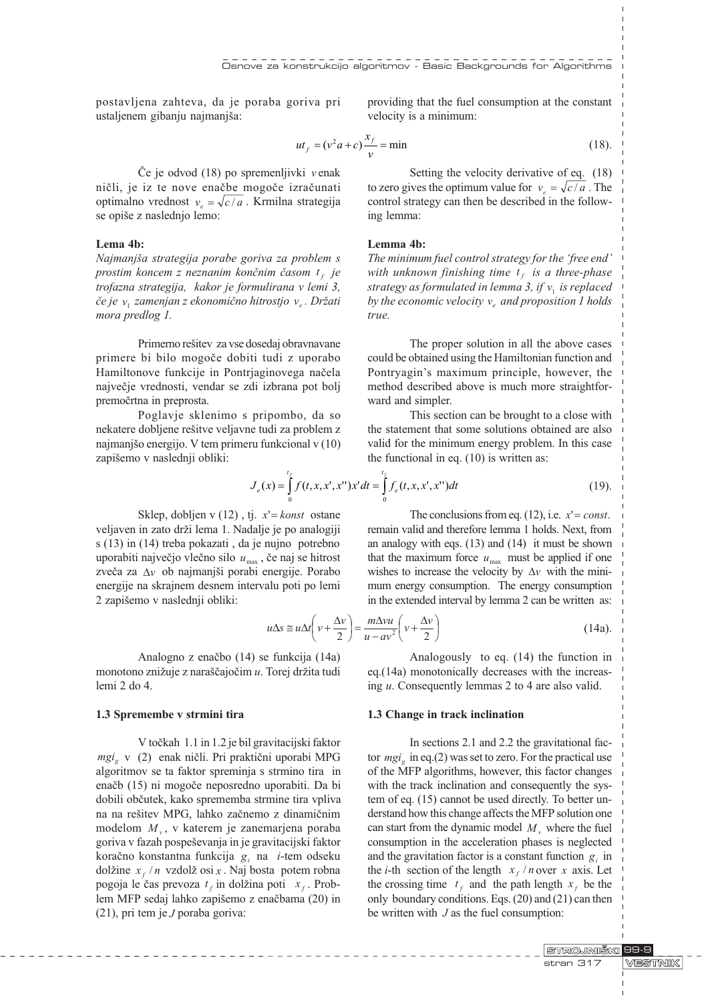postavljena zahteva, da je poraba goriva pri ustaljenem gibanju najmanjša:

providing that the fuel consumption at the constant velocity is a minimum:

$$
ut_f = (v^2 a + c)\frac{x_f}{v} = \min
$$
\n(18).

Èe je odvod (18) po spremenljivki v enak ničli, je iz te nove enačbe mogoče izračunati optimalno vrednost  $v_e = \sqrt{c/a}$ . Krmilna strategija se opiše z naslednjo lemo:

# Lema 4b:

Najmanjša strategija porabe goriva za problem s prostim koncem z neznanim končnim časom  $t_f$  je trofazna strategija, kakor je formulirana v lemi 3, če je  $v_1$  zamenjan z ekonomično hitrostjo  $v_e$ . Držati mora predlog 1.

Primerno rešitev za vse dosedaj obravnavane primere bi bilo mogoèe dobiti tudi z uporabo Hamiltonove funkcije in Pontrjaginovega naèela najveèje vrednosti, vendar se zdi izbrana pot bolj premoèrtna in preprosta.

Poglavje sklenimo s pripombo, da so nekatere dobljene rešitve veljavne tudi za problem z najmanjšo energijo. V tem primeru funkcional v (10) zapišemo v naslednji obliki:

Setting the velocity derivative of eq. (18) to zero gives the optimum value for  $v_e = \sqrt{c/a}$ . The control strategy can then be described in the following lemma:

#### Lemma 4b:

The minimum fuel control strategy for the 'free end' with unknown finishing time  $t_f$  is a three-phase strategy as formulated in lemma 3, if  $v_1$  is replaced by the economic velocity  $v_e$  and proposition 1 holds true.

The proper solution in all the above cases could be obtained using the Hamiltonian function and Pontryagin's maximum principle, however, the method described above is much more straightforward and simpler.

This section can be brought to a close with the statement that some solutions obtained are also valid for the minimum energy problem. In this case the functional in eq. (10) is written as:

remain valid and therefore lemma 1 holds. Next, from an analogy with eqs. (13) and (14) it must be shown that the maximum force  $u_{\text{max}}$  must be applied if one wishes to increase the velocity by  $\Delta v$  with the minimum energy consumption. The energy consumption in the extended interval by lemma 2 can be written as:

The conclusions from eq.  $(12)$ , i.e.  $x' = const.$ 

$$
J_e(x) = \int_0^{t_f} f(t, x, x', x'') x' dt = \int_0^{t_f} f_e(t, x, x', x'') dt
$$
 (19).

Sklep, dobljen v  $(12)$ , tj.  $x' =$ konst ostane veljaven in zato drži lema 1. Nadalje je po analogiji s (13) in (14) treba pokazati , da je nujno potrebno uporabiti največjo vlečno silo  $u_{\text{max}}$ , če naj se hitrost zveča za  $\Delta v$  ob najmanjši porabi energije. Porabo energije na skrajnem desnem intervalu poti po lemi 2 zapiemo v naslednji obliki:

> (14a).  $\left(v+\frac{\Delta v}{2}\right)$  $\left(v + \frac{\Delta v}{2}\right) = \frac{m \Delta v u}{u - av^2} \left(v + \frac{\Delta v}{2}\right)$  $\Delta s \cong u \Delta t \bigg( v + \frac{\Delta}{v} \bigg)$  $u\Delta s \cong u\Delta t \left(v + \frac{\Delta v}{2}\right) = \frac{m\Delta vu}{u - av^2} \left(v + \frac{\Delta v}{2}\right)$

Analogno z enaèbo (14) se funkcija (14a) monotono znižuje z naraščajočim  $u$ . Torej držita tudi lemi 2 do 4.

# 1.3 Spremembe v strmini tira

V toèkah 1.1 in 1.2 je bil gravitacijski faktor mgi, v (2) enak ničli. Pri praktični uporabi MPG algoritmov se ta faktor spreminja s strmino tira in enaèb (15) ni mogoèe neposredno uporabiti. Da bi dobili obèutek, kako sprememba strmine tira vpliva na na rešitev MPG, lahko začnemo z dinamičnim modelom  $M_{\nu}$ , v katerem je zanemarjena poraba goriva v fazah pospeševanja in je gravitacijski faktor koračno konstantna funkcija  $g_i$  na *i*-tem odseku dolžine  $x_f / n$  vzdolž $\sigma$ si x . Naj bosta potem robna pogoja le čas prevoza  $t_f$  in dolžina poti  $x_f$ . Problem MFP sedaj lahko zapišemo z enačbama (20) in (21), pri tem je J poraba goriva:

Analogously to eq. (14) the function in eq.(14a) monotonically decreases with the increasing u. Consequently lemmas 2 to 4 are also valid.

# 1.3 Change in track inclination

In sections 2.1 and 2.2 the gravitational factor  $mgi<sub>e</sub>$  in eq.(2) was set to zero. For the practical use of the MFP algorithms, however, this factor changes with the track inclination and consequently the system of eq. (15) cannot be used directly. To better understand how this change affects the MFP solution one can start from the dynamic model  $M$  where the fuel consumption in the acceleration phases is neglected and the gravitation factor is a constant function  $g_i$  in the *i*-th section of the length  $x_f / n$  over x axis. Let the crossing time  $t_f$  and the path length  $x_f$  be the only boundary conditions. Eqs. (20) and (21) can then be written with  $J$  as the fuel consumption:

> STROJNIŠKI 99-9 stran 317 **VESTNIK**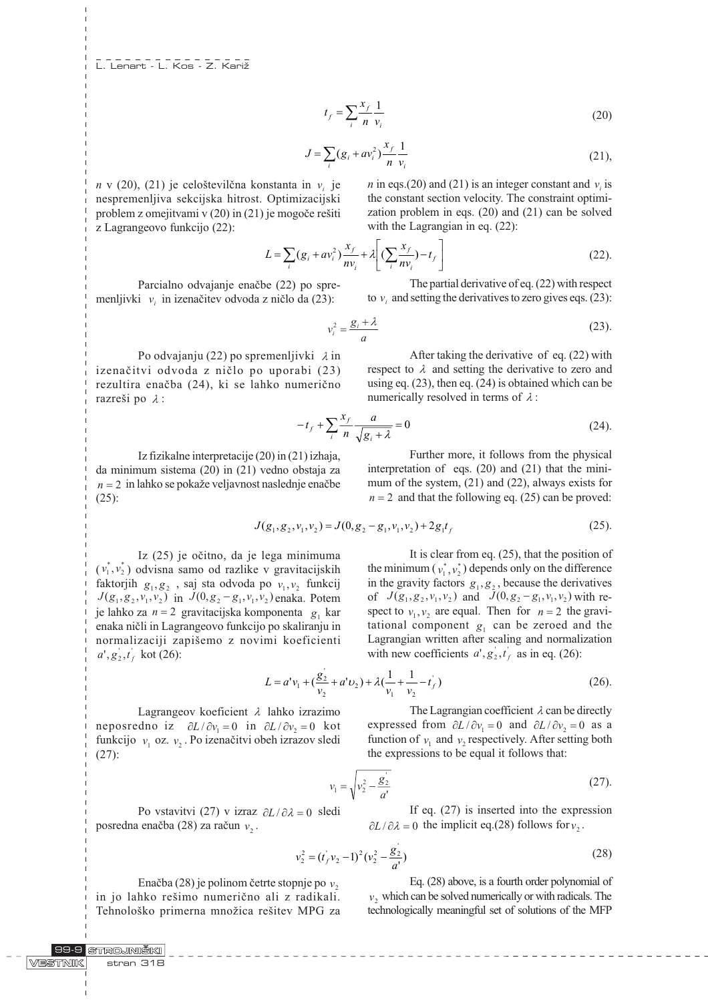$$
t_f = \sum_i \frac{x_f}{n} \frac{1}{v_i} \tag{20}
$$

$$
J = \sum_{i} (g_i + av_i^2) \frac{x_f}{n} \frac{1}{v_i}
$$
 (21),

 $n \text{ v } (20)$ , (21) je celoštevilčna konstanta in  $v_i$  je nespremenljiva sekcijska hitrost. Optimizacijski problem z omejitvami v (20) in (21) je mogoče rešiti z Lagrangeovo funkcijo (22):

In eqs. (20) and (21) is an integer constant and 
$$
v_i
$$
 is the constant section velocity. The constraint optimization problem in eqs. (20) and (21) can be solved with the Lagrangian in eq. (22):

 $n \text{ in } \text{see (20)}$  and  $(21)$  is an integer constant and  $n \text{ is }$ 

$$
L = \sum_{i} (g_i + av_i^2) \frac{x_f}{nv_i} + \lambda \left[ (\sum_{i} \frac{x_f}{nv_i}) - t_f \right]
$$
 (22).

Parcialno odvajanje enačbe (22) po spremenljivki  $v_i$  in izenačitev odvoda z ničlo da (23):

The partial derivative of eq. (22) with respect to  $v_i$  and setting the derivatives to zero gives eqs. (23):

After taking the derivative of eq. (22) with

$$
v_i^2 = \frac{g_i + \lambda}{a} \tag{23}
$$

Po odvajanju (22) po spremenljivki  $\lambda$  in izenaèitvi odvoda z nièlo po uporabi (23) rezultira enaèba (24), ki se lahko numerièno razreši po  $\lambda$ :

respect to 
$$
\lambda
$$
 and setting the derivative to zero and using eq. (23), then eq. (24) is obtained which can be numerically resolved in terms of  $\lambda$ :

$$
-t_f + \sum_{i} \frac{x_f}{n} \frac{a}{\sqrt{g_i + \lambda}} = 0
$$
\n(24).

Iz fizikalne interpretacije (20) in (21) izhaja, da minimum sistema (20) in (21) vedno obstaja za  $n = 2$  in lahko se pokaže veljavnost naslednje enačbe (25):

Further more, it follows from the physical interpretation of eqs. (20) and (21) that the minimum of the system, (21) and (22), always exists for  $n = 2$  and that the following eq. (25) can be proved:

$$
J(g_1, g_2, v_1, v_2) = J(0, g_2 - g_1, v_1, v_2) + 2g_1 t_f
$$
\n(25).

Iz (25) je oèitno, da je lega minimuma  $(v_1^*, v_2^*)$  odvisna samo od razlike v gravitacijskih faktorjih  $g_1, g_2$ , saj sta odvoda po  $v_1, v_2$  funkcij  $J(g_1, g_2, v_1, v_2)$  in  $J(0, g_2 - g_1, v_1, v_2)$  enaka. Potem je lahko za  $n = 2$  gravitacijska komponenta  $g_1$  kar enaka nièli in Lagrangeovo funkcijo po skaliranju in normalizaciji zapišemo z novimi koeficienti  $a^{\prime}, g_2^{\prime}, t_f^{\prime}$  kot (26):

It is clear from eq. (25), that the position of the minimum ( $v_1^*, v_2^*$ ) depends only on the difference in the gravity factors  $g_1, g_2$ , because the derivatives of  $J(g_1, g_2, v_1, v_2)$  and  $J(0, g_2 - g_1, v_1, v_2)$  with respect to  $v_1, v_2$  are equal. Then for  $n = 2$  the gravitational component  $g_1$  can be zeroed and the Lagrangian written after scaling and normalization with new coefficients  $a', g_2, t_f$  as in eq. (26):

$$
L = a'v_1 + \left(\frac{g_2}{v_2} + a'v_2\right) + \lambda\left(\frac{1}{v_1} + \frac{1}{v_2} - t_f\right) \tag{26}
$$

Lagrangeov koeficient  $\lambda$  lahko izrazimo neposredno iz  $\partial L / \partial v_1 = 0$  in  $\partial L / \partial v_2 = 0$  kot funkcijo  $v_1$  oz.  $v_2$ . Po izenačitvi obeh izrazov sledi (27):

The Lagrangian coefficient  $\lambda$  can be directly expressed from  $\partial L / \partial v_1 = 0$  and  $\partial L / \partial v_2 = 0$  as a function of  $v_1$  and  $v_2$  respectively. After setting both the expressions to be equal it follows that:

$$
v_1 = \sqrt{v_2^2 - \frac{g_2^2}{a^2}}\tag{27}
$$

Po vstavitvi (27) v izraz  $\partial L / \partial \lambda = 0$  sledi posredna enačba (28) za račun  $v_2$ .

If eq. (27) is inserted into the expression  $\partial L / \partial \lambda = 0$  the implicit eq.(28) follows for  $v_2$ .

$$
v_2^2 = (t_f' v_2 - 1)^2 (v_2^2 - \frac{g_2'}{a'})
$$
\n(28)

Enačba (28) je polinom četrte stopnje po  $v_2$ in jo lahko rešimo numerično ali z radikali. Tehnološko primerna množica rešitev MPG za

Eq. (28) above, is a fourth order polynomial of  $v<sub>2</sub>$  which can be solved numerically or with radicals. The technologically meaningful set of solutions of the MFP

#### STROJNIŠKI 99-9 VESTNIK stran 318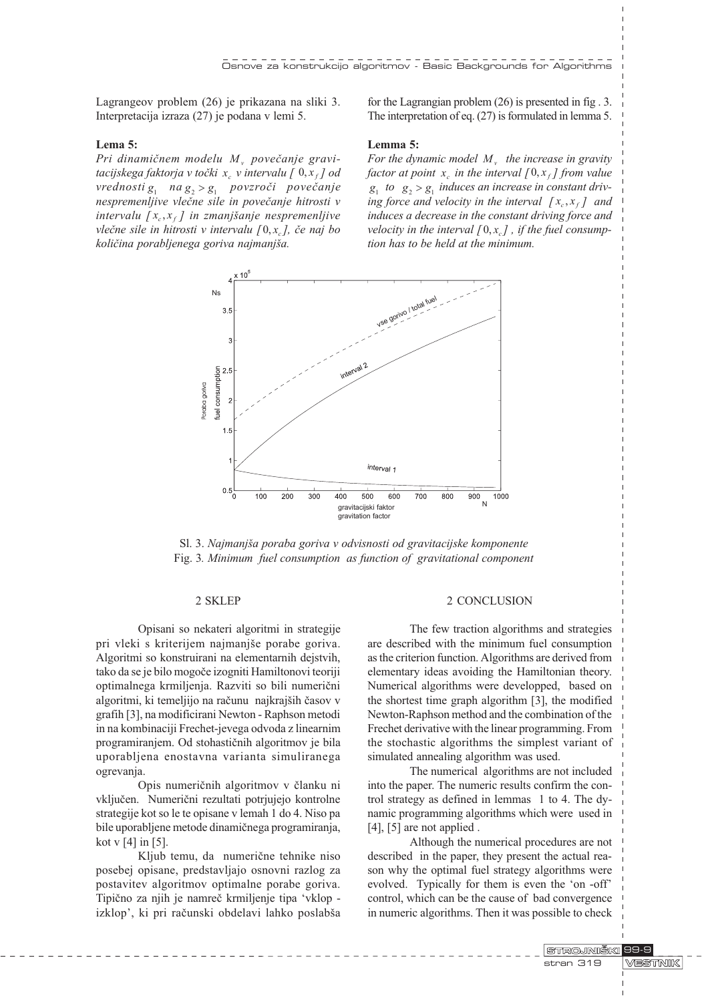Lagrangeov problem (26) je prikazana na sliki 3. Interpretacija izraza (27) je podana v lemi 5.

# Lema 5:

Pri dinamičnem modelu  $M<sub>v</sub>$  povečanje gravitacijskega faktorja v točki  $x_{\alpha}$  v intervalu [  $0, x_{\beta}$ ] od vrednosti  $g_1$  na  $g_2 > g_1$  povzroči povečanje nespremenljive vlečne sile in povečanje hitrosti v intervalu  $[x_c, x_f]$  in zmanjšanje nespremenljive vlečne sile in hitrosti v intervalu  $[0, x_{\alpha}]$ , če naj bo kolièina porabljenega goriva najmanja.

for the Lagrangian problem (26) is presented in fig . 3. The interpretation of eq. (27) is formulated in lemma 5.

## Lemma 5:

For the dynamic model  $M<sub>v</sub>$  the increase in gravity factor at point  $x_a$  in the interval  $[0, x_f]$  from value  $g_1$  to  $g_2 > g_1$  induces an increase in constant driving force and velocity in the interval  $[x_c, x_f]$  and induces a decrease in the constant driving force and velocity in the interval  $[0, x]$ , if the fuel consumption has to be held at the minimum.



Sl. 3. Najmanjša poraba goriva v odvisnosti od gravitacijske komponente Fig. 3. Minimum fuel consumption as function of gravitational component

#### 2 SKLEP

Opisani so nekateri algoritmi in strategije pri vleki s kriterijem najmanjše porabe goriva. Algoritmi so konstruirani na elementarnih dejstvih, tako da se je bilo mogoèe izogniti Hamiltonovi teoriji optimalnega krmiljenja. Razviti so bili numerièni algoritmi, ki temeljijo na računu najkrajših časov v grafih [3], na modificirani Newton - Raphson metodi in na kombinaciji Frechet-jevega odvoda z linearnim programiranjem. Od stohastiènih algoritmov je bila uporabljena enostavna varianta simuliranega ogrevanja.

Opis numeriènih algoritmov v èlanku ni vključen. Numerični rezultati potrjujejo kontrolne strategije kot so le te opisane v lemah 1 do 4. Niso pa bile uporabljene metode dinamiènega programiranja, kot v [4] in [5].

Kljub temu, da numerične tehnike niso posebej opisane, predstavljajo osnovni razlog za postavitev algoritmov optimalne porabe goriva. Tipièno za njih je namreè krmiljenje tipa vklop izklop', ki pri računski obdelavi lahko poslabša

#### 2 CONCLUSION

The few traction algorithms and strategies are described with the minimum fuel consumption as the criterion function. Algorithms are derived from elementary ideas avoiding the Hamiltonian theory. Numerical algorithms were developped, based on the shortest time graph algorithm [3], the modified Newton-Raphson method and the combination of the Frechet derivative with the linear programming. From the stochastic algorithms the simplest variant of simulated annealing algorithm was used.

The numerical algorithms are not included into the paper. The numeric results confirm the control strategy as defined in lemmas 1 to 4. The dynamic programming algorithms which were used in [4], [5] are not applied.

Although the numerical procedures are not described in the paper, they present the actual reason why the optimal fuel strategy algorithms were evolved. Typically for them is even the 'on -off' control, which can be the cause of bad convergence in numeric algorithms. Then it was possible to check